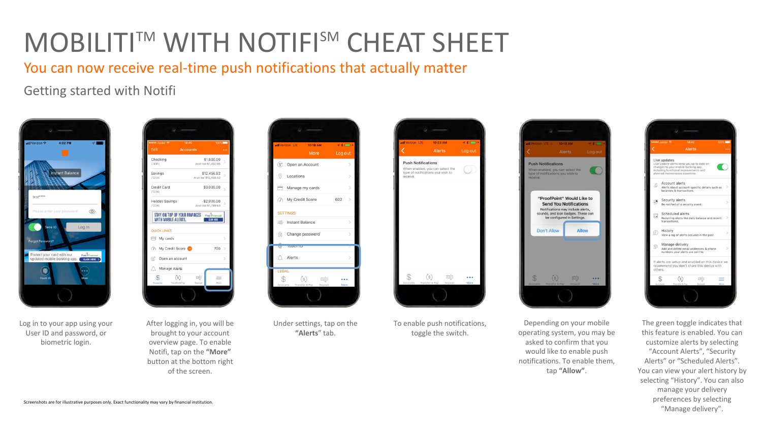You can now receive real-time push notifications that actually matter

Getting started with Notifi



Log in to your app using your User ID and password, or biometric login.



After logging in, you will be brought to your account overview page. To enable Notifi, tap on the **"More"** button at the bottom right of the screen.



Under settings, tap on the **"Alerts**" tab.



To enable push notifications, toggle the switch.



Depending on your mobile operating system, you may be asked to confirm that you would like to enable push notifications. To enable them, tap **"Allow"**.



The green toggle indicates that this feature is enabled. You can customize alerts by selecting "Account Alerts", "Security Alerts" or "Scheduled Alerts". You can view your alert history by selecting "History". You can also manage your delivery preferences by selecting "Manage delivery".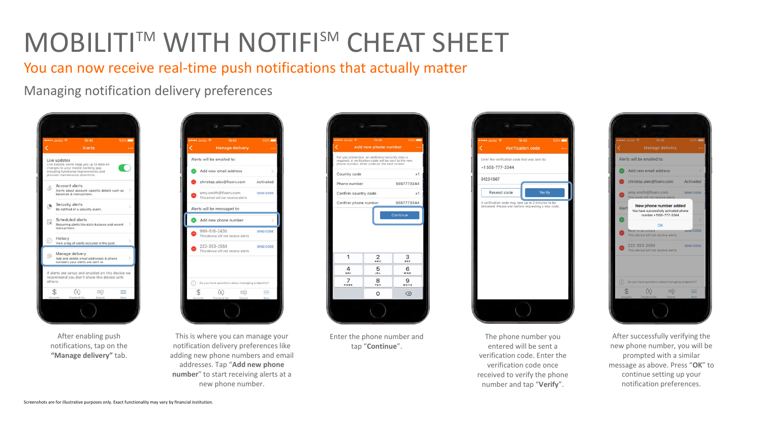You can now receive real-time push notifications that actually matter

Managing notification delivery preferences



After enabling push notifications, tap on the **"Manage delivery"** tab.



This is where you can manage your notification delivery preferences like adding new phone numbers and email addresses. Tap "**Add new phone number**" to start receiving alerts at a new phone number.



Enter the phone number and tap "**Continue**".



The phone number you entered will be sent a verification code. Enter the verification code once received to verify the phone number and tap "**Verify**".



After successfully verifying the new phone number, you will be prompted with a similar message as above. Press "**OK**" to continue setting up your notification preferences.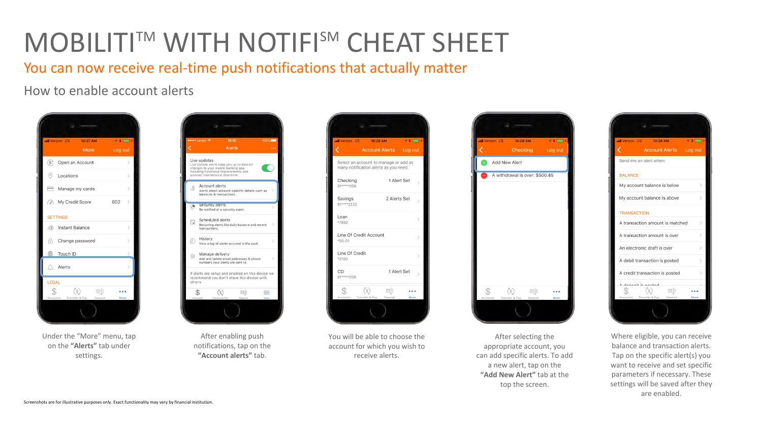You can now receive real-time push notifications that actually matter

How to enable account alerts



Under the "More" menu, tap on the **"Alerts"** tab under settings.



After enabling push notifications, tap on the **"Account alerts"** tab.



You will be able to choose the account for which you wish to receive alerts.



After selecting the appropriate account, you can add specific alerts. To add a new alert, tap on the **"Add New Alert"** tab at the top the screen.



Where eligible, you can receive balance and transaction alerts. Tap on the specific alert(s) you want to receive and set specific parameters if necessary. These settings will be saved after they are enabled.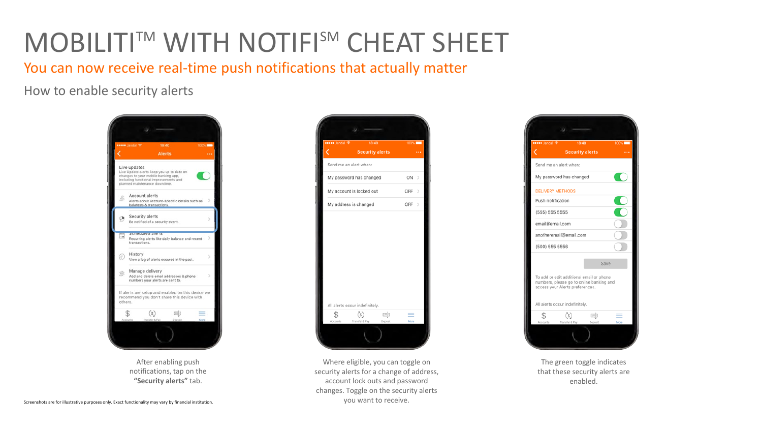You can now receive real-time push notifications that actually matter

How to enable security alerts



After enabling push notifications, tap on the **"Security alerts"** tab.



Where eligible, you can toggle on security alerts for a change of address, account lock outs and password changes. Toggle on the security alerts you want to receive.



The green toggle indicates that these security alerts are enabled.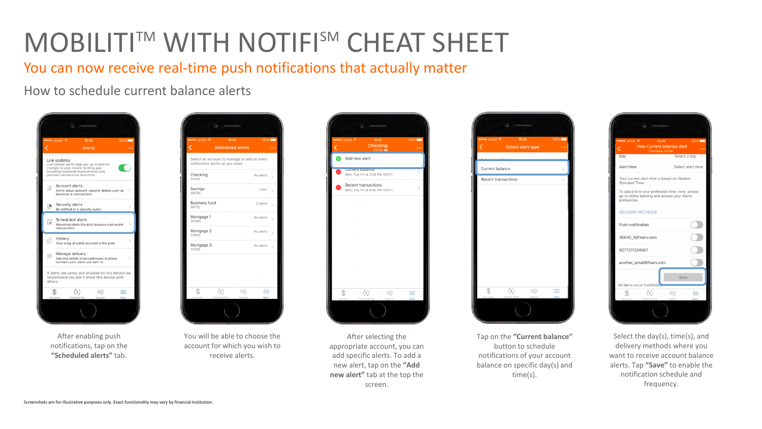You can now receive real-time push notifications that actually matter

How to schedule current balance alerts



After enabling push notifications, tap on the **"Scheduled alerts"** tab.



You will be able to choose the account for which you wish to receive alerts.



After selecting the appropriate account, you can add specific alerts. To add a new alert, tap on the **"Add new alert"** tab at the top the screen.



Tap on the **"Current balance"**  button to schedule notifications of your account balance on specific day(s) and time(s).



Select the day(s), time(s), and delivery methods where you want to receive account balance alerts. Tap **"Save"** to enable the notification schedule and frequency.